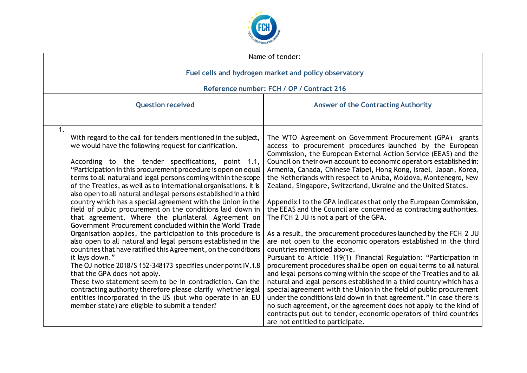

|    | Name of tender:                                                                                                                                                                                                                                                                                                                                                                                                                                                                                                                                                                                                                                                                                                                                                                                                                                                                                                                                                                                                                                                                                                                                                                                                                                                           |                                                                                                                                                                                                                                                                                                                                                                                                                                                                                                                                                                                                                                                                                                                                                                                                                                                                                                                                                                                                                                                                                                                                                                                                                                                                                                                                                                                                                                                               |
|----|---------------------------------------------------------------------------------------------------------------------------------------------------------------------------------------------------------------------------------------------------------------------------------------------------------------------------------------------------------------------------------------------------------------------------------------------------------------------------------------------------------------------------------------------------------------------------------------------------------------------------------------------------------------------------------------------------------------------------------------------------------------------------------------------------------------------------------------------------------------------------------------------------------------------------------------------------------------------------------------------------------------------------------------------------------------------------------------------------------------------------------------------------------------------------------------------------------------------------------------------------------------------------|---------------------------------------------------------------------------------------------------------------------------------------------------------------------------------------------------------------------------------------------------------------------------------------------------------------------------------------------------------------------------------------------------------------------------------------------------------------------------------------------------------------------------------------------------------------------------------------------------------------------------------------------------------------------------------------------------------------------------------------------------------------------------------------------------------------------------------------------------------------------------------------------------------------------------------------------------------------------------------------------------------------------------------------------------------------------------------------------------------------------------------------------------------------------------------------------------------------------------------------------------------------------------------------------------------------------------------------------------------------------------------------------------------------------------------------------------------------|
|    | Fuel cells and hydrogen market and policy observatory                                                                                                                                                                                                                                                                                                                                                                                                                                                                                                                                                                                                                                                                                                                                                                                                                                                                                                                                                                                                                                                                                                                                                                                                                     |                                                                                                                                                                                                                                                                                                                                                                                                                                                                                                                                                                                                                                                                                                                                                                                                                                                                                                                                                                                                                                                                                                                                                                                                                                                                                                                                                                                                                                                               |
|    | Reference number: FCH / OP / Contract 216                                                                                                                                                                                                                                                                                                                                                                                                                                                                                                                                                                                                                                                                                                                                                                                                                                                                                                                                                                                                                                                                                                                                                                                                                                 |                                                                                                                                                                                                                                                                                                                                                                                                                                                                                                                                                                                                                                                                                                                                                                                                                                                                                                                                                                                                                                                                                                                                                                                                                                                                                                                                                                                                                                                               |
|    | <b>Question received</b>                                                                                                                                                                                                                                                                                                                                                                                                                                                                                                                                                                                                                                                                                                                                                                                                                                                                                                                                                                                                                                                                                                                                                                                                                                                  | <b>Answer of the Contracting Authority</b>                                                                                                                                                                                                                                                                                                                                                                                                                                                                                                                                                                                                                                                                                                                                                                                                                                                                                                                                                                                                                                                                                                                                                                                                                                                                                                                                                                                                                    |
| 1. | With regard to the call for tenders mentioned in the subject,<br>we would have the following request for clarification.<br>According to the tender specifications, point 1.1,<br>"Participation in this procurement procedure is open on equal<br>terms to all natural and legal persons coming within the scope<br>of the Treaties, as well as to international organisations. It is<br>also open to all natural and legal persons established in a third<br>country which has a special agreement with the Union in the<br>field of public procurement on the conditions laid down in<br>that agreement. Where the plurilateral Agreement on<br>Government Procurement concluded within the World Trade<br>Organisation applies, the participation to this procedure is<br>also open to all natural and legal persons established in the<br>countries that have ratified this Agreement, on the conditions<br>it lays down."<br>The OJ notice 2018/S 152-348173 specifies under point IV.1.8<br>that the GPA does not apply.<br>These two statement seem to be in contradiction. Can the<br>contracting authority therefore please clarify whether legal<br>entities incorporated in the US (but who operate in an EU<br>member state) are eligible to submit a tender? | The WTO Agreement on Government Procurement (GPA) grants<br>access to procurement procedures launched by the European<br>Commission, the European External Action Service (EEAS) and the<br>Council on their own account to economic operators established in:<br>Armenia, Canada, Chinese Taipei, Hong Kong, Israel, Japan, Korea,<br>the Netherlands with respect to Aruba, Moldova, Montenegro, New<br>Zealand, Singapore, Switzerland, Ukraine and the United States.<br>Appendix I to the GPA indicates that only the European Commission,<br>the EEAS and the Council are concerned as contracting authorities.<br>The FCH 2 JU is not a part of the GPA.<br>As a result, the procurement procedures launched by the FCH 2 JU<br>are not open to the economic operators established in the third<br>countries mentioned above.<br>Pursuant to Article 119(1) Financial Regulation: "Participation in<br>procurement procedures shall be open on equal terms to all natural<br>and legal persons coming within the scope of the Treaties and to all<br>natural and legal persons established in a third country which has a<br>special agreement with the Union in the field of public procurement<br>under the conditions laid down in that agreement." In case there is<br>no such agreement, or the agreement does not apply to the kind of<br>contracts put out to tender, economic operators of third countries<br>are not entitled to participate. |